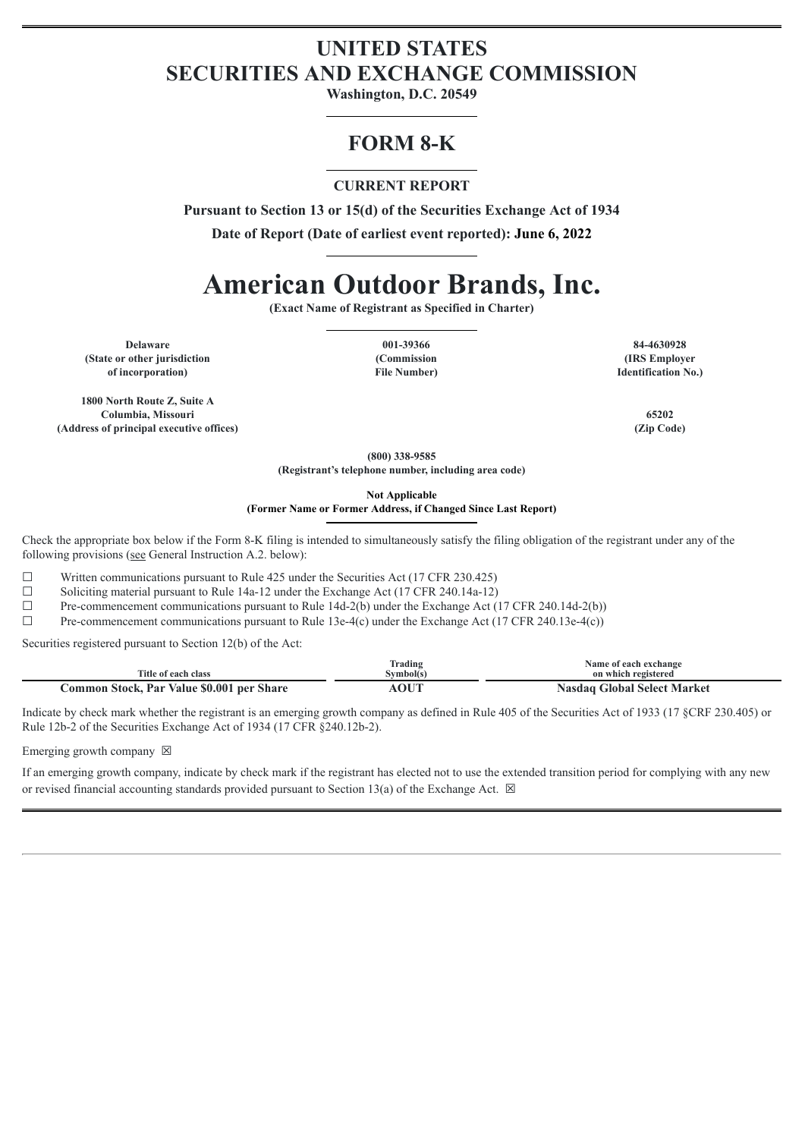# **UNITED STATES SECURITIES AND EXCHANGE COMMISSION**

**Washington, D.C. 20549**

# **FORM 8-K**

## **CURRENT REPORT**

**Pursuant to Section 13 or 15(d) of the Securities Exchange Act of 1934**

**Date of Report (Date of earliest event reported): June 6, 2022**

# **American Outdoor Brands, Inc.**

**(Exact Name of Registrant as Specified in Charter)**

**Delaware 001-39366 84-4630928 (State or other jurisdiction of incorporation)**

**1800 North Route Z, Suite A Columbia, Missouri 65202 (Address of principal executive offices) (Zip Code)**

**(Commission File Number)**

**(IRS Employer Identification No.)**

**(800) 338-9585 (Registrant's telephone number, including area code)**

**Not Applicable**

**(Former Name or Former Address, if Changed Since Last Report)**

Check the appropriate box below if the Form 8-K filing is intended to simultaneously satisfy the filing obligation of the registrant under any of the following provisions (see General Instruction A.2. below):

☐ Written communications pursuant to Rule 425 under the Securities Act (17 CFR 230.425)

☐ Soliciting material pursuant to Rule 14a-12 under the Exchange Act (17 CFR 240.14a-12)

 $\Box$  Pre-commencement communications pursuant to Rule 14d-2(b) under the Exchange Act (17 CFR 240.14d-2(b))

 $\Box$  Pre-commencement communications pursuant to Rule 13e-4(c) under the Exchange Act (17 CFR 240.13e-4(c))

Securities registered pursuant to Section 12(b) of the Act:

| Title of each class                       | Trading<br>Svmbol(s) | Name of each exchange<br>on which registered |
|-------------------------------------------|----------------------|----------------------------------------------|
| Common Stock, Par Value \$0.001 per Share | AOUT                 | Nasdaq Global Select Market                  |

Indicate by check mark whether the registrant is an emerging growth company as defined in Rule 405 of the Securities Act of 1933 (17 §CRF 230.405) or Rule 12b-2 of the Securities Exchange Act of 1934 (17 CFR §240.12b-2).

Emerging growth company  $\boxtimes$ 

If an emerging growth company, indicate by check mark if the registrant has elected not to use the extended transition period for complying with any new or revised financial accounting standards provided pursuant to Section 13(a) of the Exchange Act.  $\boxtimes$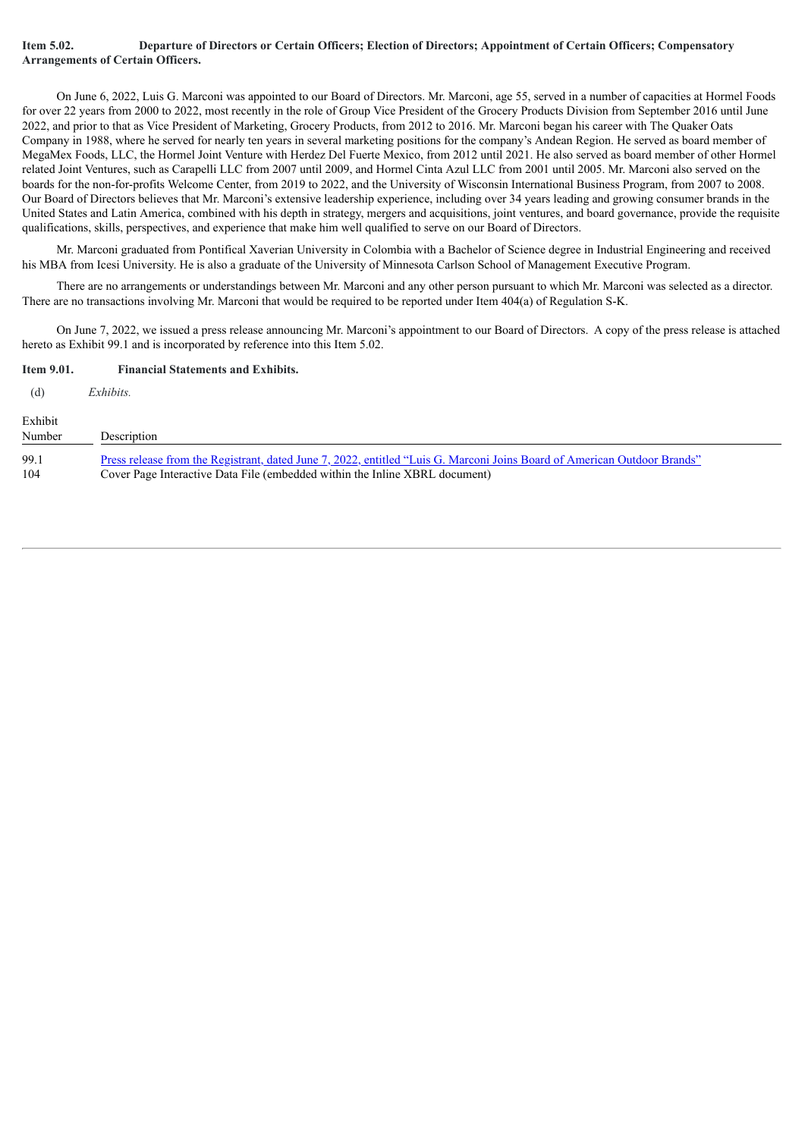#### Item 5.02. Departure of Directors or Certain Officers; Election of Directors; Appointment of Certain Officers; Compensatory **Arrangements of Certain Officers.**

On June 6, 2022, Luis G. Marconi was appointed to our Board of Directors. Mr. Marconi, age 55, served in a number of capacities at Hormel Foods for over 22 years from 2000 to 2022, most recently in the role of Group Vice President of the Grocery Products Division from September 2016 until June 2022, and prior to that as Vice President of Marketing, Grocery Products, from 2012 to 2016. Mr. Marconi began his career with The Quaker Oats Company in 1988, where he served for nearly ten years in several marketing positions for the company's Andean Region. He served as board member of MegaMex Foods, LLC, the Hormel Joint Venture with Herdez Del Fuerte Mexico, from 2012 until 2021. He also served as board member of other Hormel related Joint Ventures, such as Carapelli LLC from 2007 until 2009, and Hormel Cinta Azul LLC from 2001 until 2005. Mr. Marconi also served on the boards for the non-for-profits Welcome Center, from 2019 to 2022, and the University of Wisconsin International Business Program, from 2007 to 2008. Our Board of Directors believes that Mr. Marconi's extensive leadership experience, including over 34 years leading and growing consumer brands in the United States and Latin America, combined with his depth in strategy, mergers and acquisitions, joint ventures, and board governance, provide the requisite qualifications, skills, perspectives, and experience that make him well qualified to serve on our Board of Directors.

Mr. Marconi graduated from Pontifical Xaverian University in Colombia with a Bachelor of Science degree in Industrial Engineering and received his MBA from Icesi University. He is also a graduate of the University of Minnesota Carlson School of Management Executive Program.

There are no arrangements or understandings between Mr. Marconi and any other person pursuant to which Mr. Marconi was selected as a director. There are no transactions involving Mr. Marconi that would be required to be reported under Item 404(a) of Regulation S-K.

On June 7, 2022, we issued a press release announcing Mr. Marconi's appointment to our Board of Directors. A copy of the press release is attached hereto as Exhibit 99.1 and is incorporated by reference into this Item 5.02.

#### **Item 9.01. Financial Statements and Exhibits.**

| (d)               | Exhibits.                                                                                                                                                                                               |
|-------------------|---------------------------------------------------------------------------------------------------------------------------------------------------------------------------------------------------------|
| Exhibit<br>Number | Description                                                                                                                                                                                             |
| 99.1<br>104       | Press release from the Registrant, dated June 7, 2022, entitled "Luis G. Marconi Joins Board of American Outdoor Brands"<br>Cover Page Interactive Data File (embedded within the Inline XBRL document) |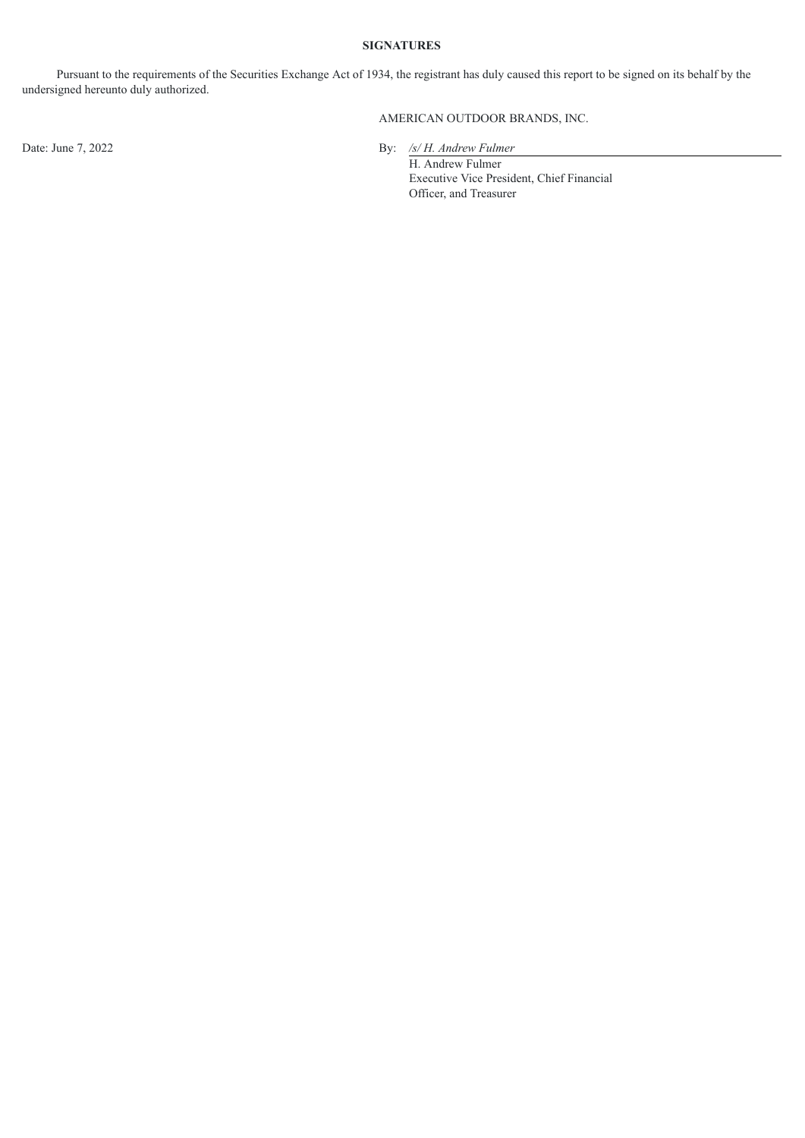### **SIGNATURES**

Pursuant to the requirements of the Securities Exchange Act of 1934, the registrant has duly caused this report to be signed on its behalf by the undersigned hereunto duly authorized.

## AMERICAN OUTDOOR BRANDS, INC.

Date: June 7, 2022 By: */s/ H. Andrew Fulmer*

H. Andrew Fulmer Executive Vice President, Chief Financial Officer, and Treasurer